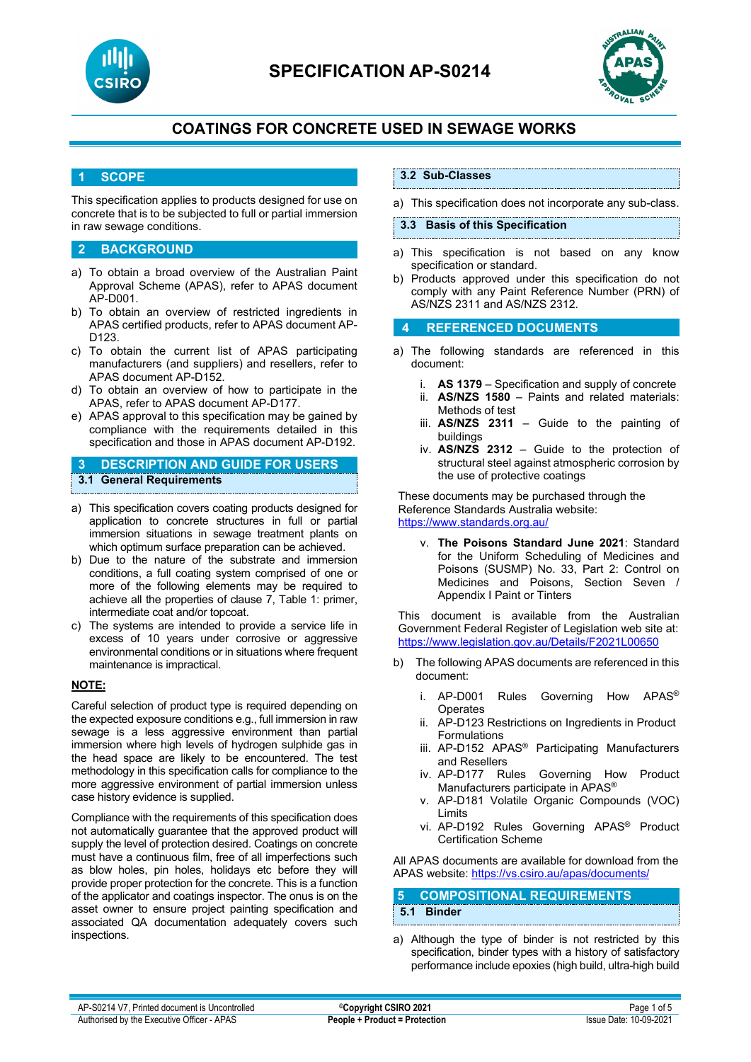



### **1 SCOPE**

This specification applies to products designed for use on concrete that is to be subjected to full or partial immersion in raw sewage conditions.

### **2 BACKGROUND**

- a) To obtain a broad overview of the Australian Paint Approval Scheme (APAS), refer to APAS document AP-D001.
- b) To obtain an overview of restricted ingredients in APAS certified products, refer to APAS document AP-D123.
- c) To obtain the current list of APAS participating manufacturers (and suppliers) and resellers, refer to APAS document AP-D152.
- d) To obtain an overview of how to participate in the APAS, refer to APAS document AP-D177.
- e) APAS approval to this specification may be gained by compliance with the requirements detailed in this specification and those in APAS document AP-D192.

**3 DESCRIPTION AND GUIDE FOR USERS 3.1 General Requirements**

- a) This specification covers coating products designed for application to concrete structures in full or partial immersion situations in sewage treatment plants on which optimum surface preparation can be achieved.
- b) Due to the nature of the substrate and immersion conditions, a full coating system comprised of one or more of the following elements may be required to achieve all the properties of clause 7, Table 1: primer, intermediate coat and/or topcoat.
- c) The systems are intended to provide a service life in excess of 10 years under corrosive or aggressive environmental conditions or in situations where frequent maintenance is impractical.

### **NOTE:**

Careful selection of product type is required depending on the expected exposure conditions e.g., full immersion in raw sewage is a less aggressive environment than partial immersion where high levels of hydrogen sulphide gas in the head space are likely to be encountered. The test methodology in this specification calls for compliance to the more aggressive environment of partial immersion unless case history evidence is supplied.

Compliance with the requirements of this specification does not automatically guarantee that the approved product will supply the level of protection desired. Coatings on concrete must have a continuous film, free of all imperfections such as blow holes, pin holes, holidays etc before they will provide proper protection for the concrete. This is a function of the applicator and coatings inspector. The onus is on the asset owner to ensure project painting specification and associated QA documentation adequately covers such inspections.

### **3.2 Sub-Classes**

a) This specification does not incorporate any sub-class.

#### **3.3 Basis of this Specification**

- a) This specification is not based on any know specification or standard.
- b) Products approved under this specification do not comply with any Paint Reference Number (PRN) of AS/NZS 2311 and AS/NZS 2312.

## **4 REFERENCED DOCUMENTS**

- a) The following standards are referenced in this document:
	- i. **AS 1379** Specification and supply of concrete
	- AS/NZS 1580 Paints and related materials: Methods of test
	- iii. **AS/NZS 2311**  Guide to the painting of buildings
	- iv. **AS/NZS 2312**  Guide to the protection of structural steel against atmospheric corrosion by the use of protective coatings

These documents may be purchased through the Reference Standards Australia website: <https://www.standards.org.au/>

v. **The Poisons Standard June 2021**: Standard for the Uniform Scheduling of Medicines and Poisons (SUSMP) No. 33, Part 2: Control on Medicines and Poisons, Section Seven / Appendix I Paint or Tinters

This document is available from the Australian Government Federal Register of Legislation web site at: <https://www.legislation.gov.au/Details/F2021L00650>

- b) The following APAS documents are referenced in this document:
	- i. AP-D001 Rules Governing How APAS® **Operates**
	- ii. AP-D123 Restrictions on Ingredients in Product Formulations
	- iii. AP-D152 APAS® Participating Manufacturers and Resellers
	- iv. AP-D177 Rules Governing How Product Manufacturers participate in APAS®
	- v. AP-D181 Volatile Organic Compounds (VOC) Limits
	- vi. AP-D192 Rules Governing APAS® Product Certification Scheme

All APAS documents are available for download from the APAS website: <https://vs.csiro.au/apas/documents/>

## **5 COMPOSITIONAL REQUIREMENTS 5.1 Binder**

a) Although the type of binder is not restricted by this specification, binder types with a history of satisfactory performance include epoxies (high build, ultra-high build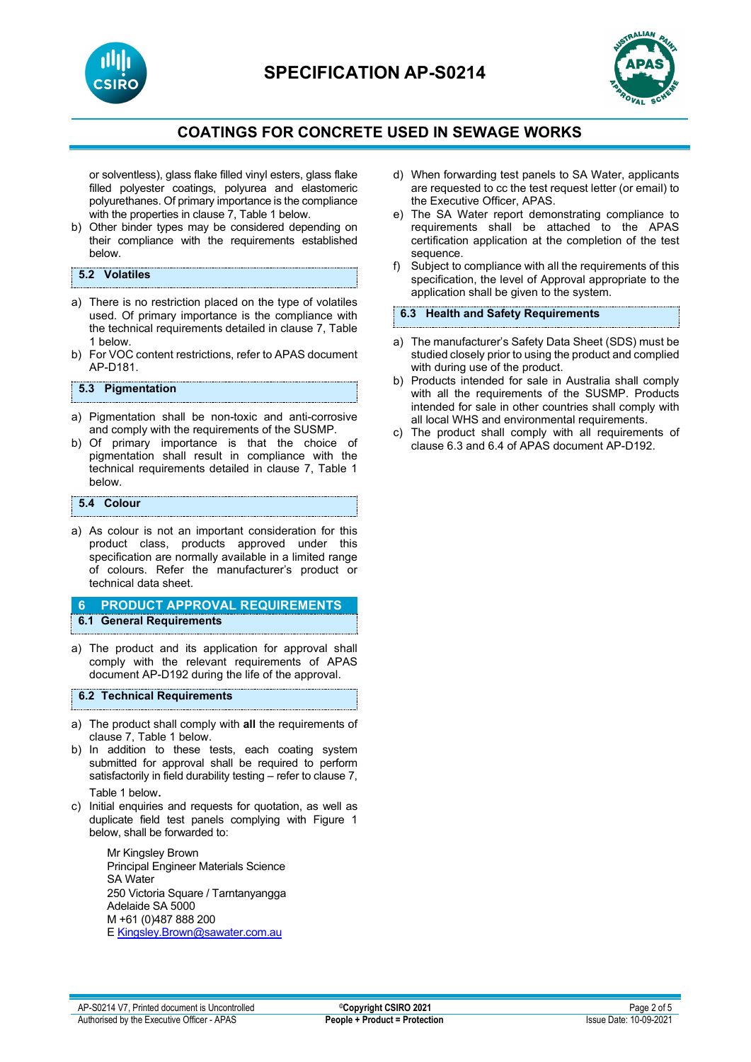

or solventless), glass flake filled vinyl esters, glass flake filled polyester coatings, polyurea and elastomeric polyurethanes. Of primary importance is the compliance with the properties in clause 7, Table 1 below.

b) Other binder types may be considered depending on their compliance with the requirements established below.

## **5.2 Volatiles**

- a) There is no restriction placed on the type of volatiles used. Of primary importance is the compliance with the technical requirements detailed in clause 7, Table 1 below.
- b) For VOC content restrictions, refer to APAS document AP-D181.

### **5.3 Pigmentation**

- a) Pigmentation shall be non-toxic and anti-corrosive and comply with the requirements of the SUSMP.
- b) Of primary importance is that the choice of pigmentation shall result in compliance with the technical requirements detailed in clause 7, Table 1 below.

#### **5.4 Colour**

a) As colour is not an important consideration for this product class, products approved under this specification are normally available in a limited range of colours. Refer the manufacturer's product or technical data sheet.

#### **6 PRODUCT APPROVAL REQUIREMENTS 6.1 General Requirements**

a) The product and its application for approval shall comply with the relevant requirements of APAS document AP-D192 during the life of the approval.

#### **6.2 Technical Requirements**

- a) The product shall comply with **all** the requirements of clause 7, Table 1 below.
- b) In addition to these tests, each coating system submitted for approval shall be required to perform satisfactorily in field durability testing – refer to clause 7, Table 1 below.
- c) Initial enquiries and requests for quotation, as well as duplicate field test panels complying with Figure 1 below, shall be forwarded to:

Mr Kingsley Brown Principal Engineer Materials Science SA Water 250 Victoria Square / Tarntanyangga Adelaide SA 5000 M +61 (0)487 888 200 E [Kingsley.Brown@sawater.com.au](mailto:Kingsley.Brown@sawater.com.au)

- d) When forwarding test panels to SA Water, applicants are requested to cc the test request letter (or email) to the Executive Officer, APAS.
- e) The SA Water report demonstrating compliance to requirements shall be attached to the APAS certification application at the completion of the test sequence.
- f) Subject to compliance with all the requirements of this specification, the level of Approval appropriate to the application shall be given to the system.

#### **6.3 Health and Safety Requirements**

- a) The manufacturer's Safety Data Sheet (SDS) must be studied closely prior to using the product and complied with during use of the product.
- b) Products intended for sale in Australia shall comply with all the requirements of the SUSMP. Products intended for sale in other countries shall comply with all local WHS and environmental requirements.
- c) The product shall comply with all requirements of clause 6.3 and 6.4 of APAS document AP-D192.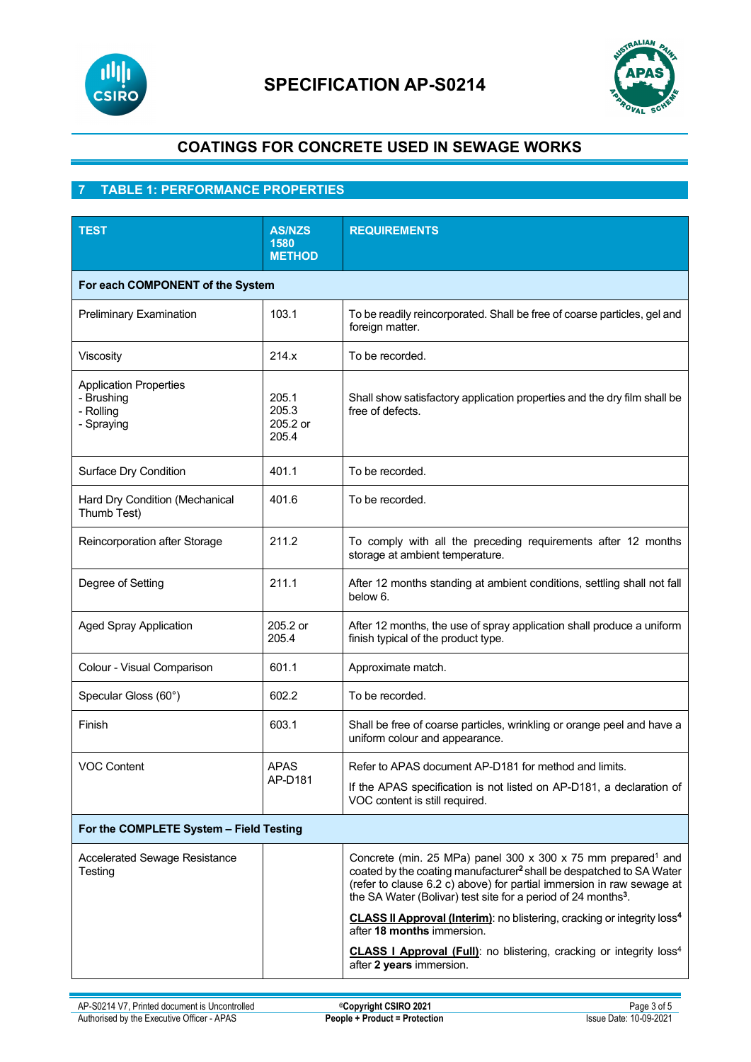



## **7 TABLE 1: PERFORMANCE PROPERTIES**

| <b>TEST</b>                                                            | <b>AS/NZS</b><br>1580<br><b>METHOD</b> | <b>REQUIREMENTS</b>                                                                                                                                                                                                                                                                                               |  |
|------------------------------------------------------------------------|----------------------------------------|-------------------------------------------------------------------------------------------------------------------------------------------------------------------------------------------------------------------------------------------------------------------------------------------------------------------|--|
| For each COMPONENT of the System                                       |                                        |                                                                                                                                                                                                                                                                                                                   |  |
| <b>Preliminary Examination</b>                                         | 103.1                                  | To be readily reincorporated. Shall be free of coarse particles, gel and<br>foreign matter.                                                                                                                                                                                                                       |  |
| Viscosity                                                              | 214.x                                  | To be recorded.                                                                                                                                                                                                                                                                                                   |  |
| <b>Application Properties</b><br>- Brushing<br>- Rolling<br>- Spraying | 205.1<br>205.3<br>205.2 or<br>205.4    | Shall show satisfactory application properties and the dry film shall be<br>free of defects.                                                                                                                                                                                                                      |  |
| Surface Dry Condition                                                  | 401.1                                  | To be recorded.                                                                                                                                                                                                                                                                                                   |  |
| Hard Dry Condition (Mechanical<br>Thumb Test)                          | 401.6                                  | To be recorded.                                                                                                                                                                                                                                                                                                   |  |
| Reincorporation after Storage                                          | 211.2                                  | To comply with all the preceding requirements after 12 months<br>storage at ambient temperature.                                                                                                                                                                                                                  |  |
| Degree of Setting                                                      | 211.1                                  | After 12 months standing at ambient conditions, settling shall not fall<br>below 6.                                                                                                                                                                                                                               |  |
| <b>Aged Spray Application</b>                                          | 205.2 or<br>205.4                      | After 12 months, the use of spray application shall produce a uniform<br>finish typical of the product type.                                                                                                                                                                                                      |  |
| Colour - Visual Comparison                                             | 601.1                                  | Approximate match.                                                                                                                                                                                                                                                                                                |  |
| Specular Gloss (60°)                                                   | 602.2                                  | To be recorded.                                                                                                                                                                                                                                                                                                   |  |
| Finish                                                                 | 603.1                                  | Shall be free of coarse particles, wrinkling or orange peel and have a<br>uniform colour and appearance.                                                                                                                                                                                                          |  |
| <b>VOC Content</b>                                                     | <b>APAS</b><br>AP-D181                 | Refer to APAS document AP-D181 for method and limits.                                                                                                                                                                                                                                                             |  |
|                                                                        |                                        | If the APAS specification is not listed on AP-D181, a declaration of<br>VOC content is still required.                                                                                                                                                                                                            |  |
| For the COMPLETE System - Field Testing                                |                                        |                                                                                                                                                                                                                                                                                                                   |  |
| <b>Accelerated Sewage Resistance</b><br>Testing                        |                                        | Concrete (min. 25 MPa) panel 300 x 300 x 75 mm prepared <sup>1</sup> and<br>coated by the coating manufacturer <sup>2</sup> shall be despatched to SA Water<br>(refer to clause 6.2 c) above) for partial immersion in raw sewage at<br>the SA Water (Bolivar) test site for a period of 24 months <sup>3</sup> . |  |
|                                                                        |                                        | CLASS II Approval (Interim): no blistering, cracking or integrity loss <sup>4</sup><br>after 18 months immersion.                                                                                                                                                                                                 |  |
|                                                                        |                                        | CLASS I Approval (Full): no blistering, cracking or integrity loss <sup>4</sup><br>after 2 years immersion.                                                                                                                                                                                                       |  |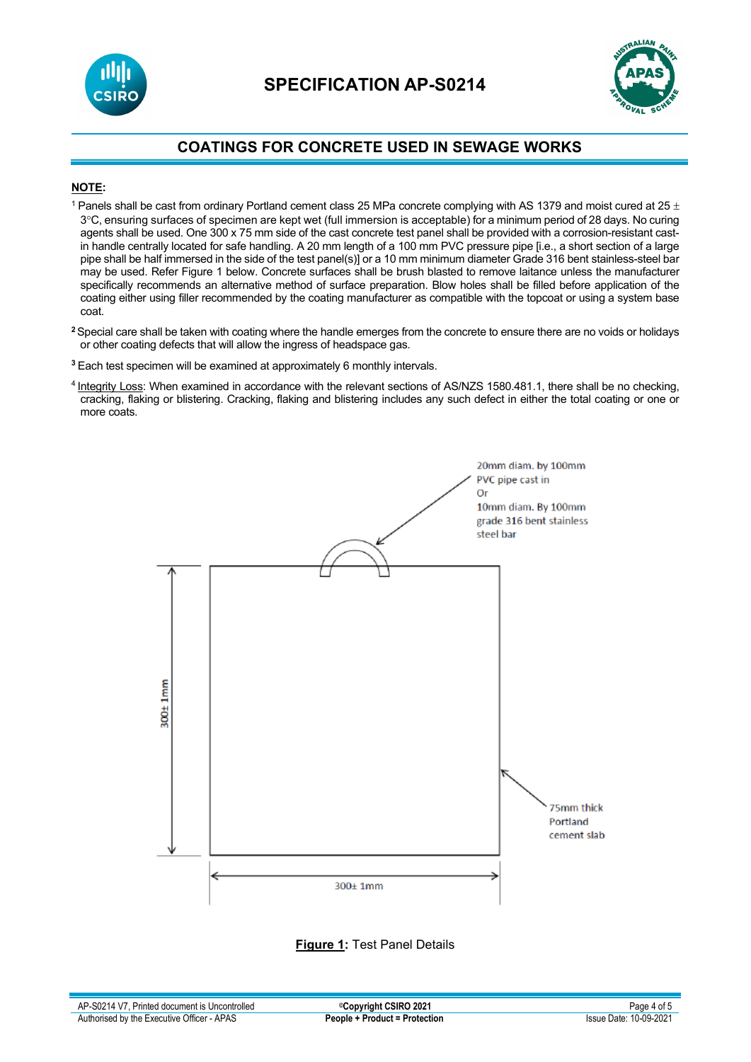



## **NOTE:**

- <sup>1</sup> Panels shall be cast from ordinary Portland cement class 25 MPa concrete complying with AS 1379 and moist cured at 25  $\pm$ 3°C, ensuring surfaces of specimen are kept wet (full immersion is acceptable) for a minimum period of 28 days. No curing agents shall be used. One 300 x 75 mm side of the cast concrete test panel shall be provided with a corrosion-resistant castin handle centrally located for safe handling. A 20 mm length of a 100 mm PVC pressure pipe [i.e., a short section of a large pipe shall be half immersed in the side of the test panel(s)] or a 10 mm minimum diameter Grade 316 bent stainless-steel bar may be used. Refer Figure 1 below. Concrete surfaces shall be brush blasted to remove laitance unless the manufacturer specifically recommends an alternative method of surface preparation. Blow holes shall be filled before application of the coating either using filler recommended by the coating manufacturer as compatible with the topcoat or using a system base coat.
- **<sup>2</sup>**Special care shall be taken with coating where the handle emerges from the concrete to ensure there are no voids or holidays or other coating defects that will allow the ingress of headspace gas.
- **<sup>3</sup>** Each test specimen will be examined at approximately 6 monthly intervals.
- 4 Integrity Loss: When examined in accordance with the relevant sections of AS/NZS 1580.481.1, there shall be no checking, cracking, flaking or blistering. Cracking, flaking and blistering includes any such defect in either the total coating or one or more coats.